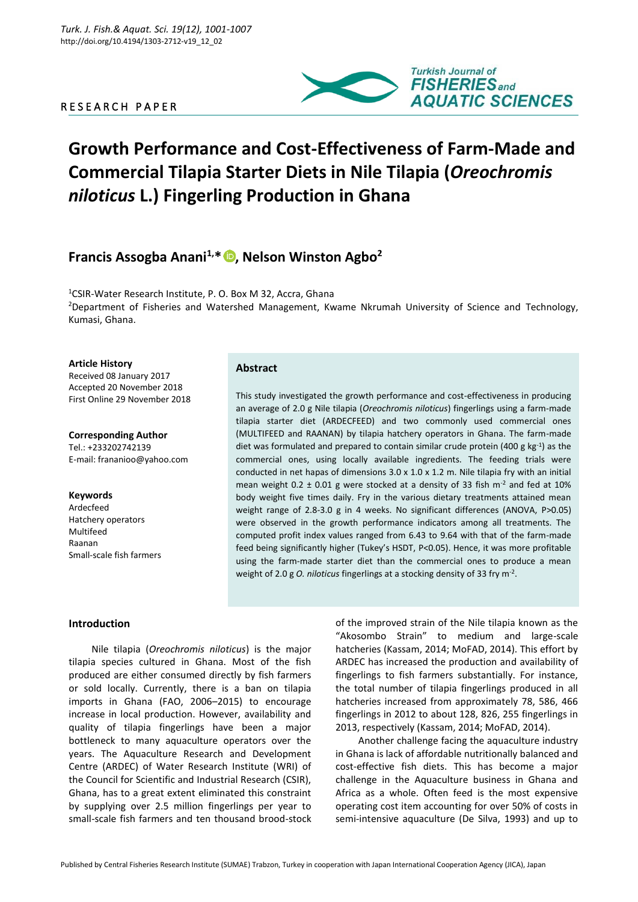# R E S E A R C H P A P E R



# **Growth Performance and Cost-Effectiveness of Farm-Made and Commercial Tilapia Starter Diets in Nile Tilapia (***Oreochromis niloticus* **L.) Fingerling Production in Ghana**

# **Francis Assogba Anani1,\* [,](https://orcid.org/0000-0003-3232-9436) Nelson Winston Agbo<sup>2</sup>**

<sup>1</sup>CSIR-Water Research Institute, P. O. Box M 32, Accra, Ghana <sup>2</sup>Department of Fisheries and Watershed Management, Kwame Nkrumah University of Science and Technology, Kumasi, Ghana.

#### **Article History**

Received 08 January 2017 Accepted 20 November 2018 First Online 29 November 2018

**Corresponding Author** Tel.: +233202742139 E-mail: frananioo@yahoo.com

**Keywords** Ardecfeed Hatchery operators Multifeed Raanan Small-scale fish farmers

# **Abstract**

This study investigated the growth performance and cost-effectiveness in producing an average of 2.0 g Nile tilapia (*Oreochromis niloticus*) fingerlings using a farm-made tilapia starter diet (ARDECFEED) and two commonly used commercial ones (MULTIFEED and RAANAN) by tilapia hatchery operators in Ghana. The farm-made diet was formulated and prepared to contain similar crude protein (400 g  $kg^{-1}$ ) as the commercial ones, using locally available ingredients. The feeding trials were conducted in net hapas of dimensions  $3.0 \times 1.0 \times 1.2$  m. Nile tilapia fry with an initial mean weight  $0.2 \pm 0.01$  g were stocked at a density of 33 fish m<sup>-2</sup> and fed at 10% body weight five times daily. Fry in the various dietary treatments attained mean weight range of 2.8-3.0 g in 4 weeks. No significant differences (ANOVA, P>0.05) were observed in the growth performance indicators among all treatments. The computed profit index values ranged from 6.43 to 9.64 with that of the farm-made feed being significantly higher (Tukey's HSDT, P<0.05). Hence, it was more profitable using the farm-made starter diet than the commercial ones to produce a mean weight of 2.0 g *O. niloticus* fingerlings at a stocking density of 33 fry m-2 .

# **Introduction**

Nile tilapia (*Oreochromis niloticus*) is the major tilapia species cultured in Ghana. Most of the fish produced are either consumed directly by fish farmers or sold locally. Currently, there is a ban on tilapia imports in Ghana (FAO, 2006–2015) to encourage increase in local production. However, availability and quality of tilapia fingerlings have been a major bottleneck to many aquaculture operators over the years. The Aquaculture Research and Development Centre (ARDEC) of Water Research Institute (WRI) of the Council for Scientific and Industrial Research (CSIR), Ghana, has to a great extent eliminated this constraint by supplying over 2.5 million fingerlings per year to small-scale fish farmers and ten thousand brood-stock

of the improved strain of the Nile tilapia known as the "Akosombo Strain" to medium and large-scale hatcheries (Kassam, 2014; MoFAD, 2014). This effort by ARDEC has increased the production and availability of fingerlings to fish farmers substantially. For instance, the total number of tilapia fingerlings produced in all hatcheries increased from approximately 78, 586, 466 fingerlings in 2012 to about 128, 826, 255 fingerlings in 2013, respectively (Kassam, 2014; MoFAD, 2014).

Another challenge facing the aquaculture industry in Ghana is lack of affordable nutritionally balanced and cost-effective fish diets. This has become a major challenge in the Aquaculture business in Ghana and Africa as a whole. Often feed is the most expensive operating cost item accounting for over 50% of costs in semi-intensive aquaculture (De Silva, 1993) and up to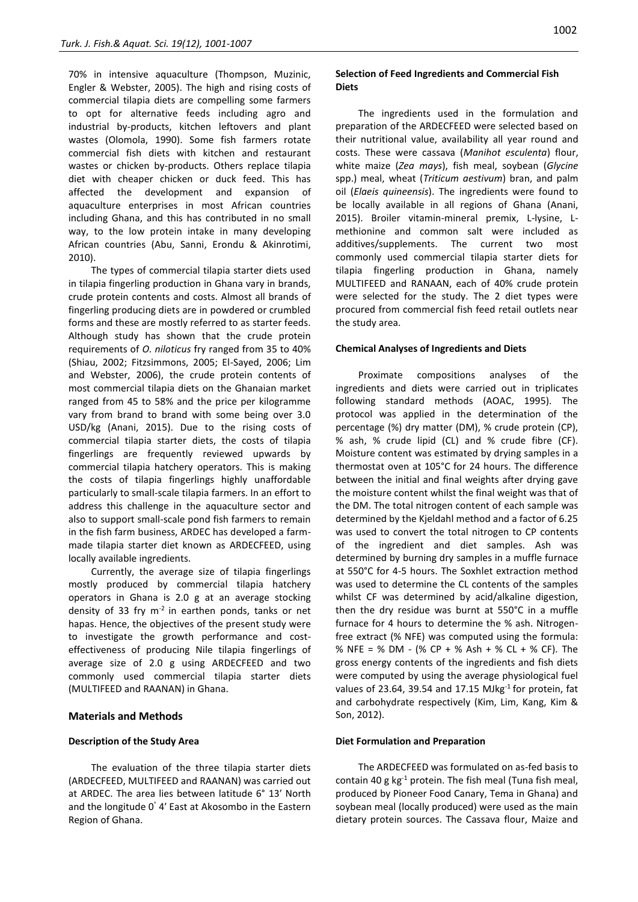70% in intensive aquaculture (Thompson, Muzinic, Engler & Webster, 2005). The high and rising costs of commercial tilapia diets are compelling some farmers to opt for alternative feeds including agro and industrial by-products, kitchen leftovers and plant wastes (Olomola, 1990). Some fish farmers rotate commercial fish diets with kitchen and restaurant wastes or chicken by-products. Others replace tilapia diet with cheaper chicken or duck feed. This has affected the development and expansion of aquaculture enterprises in most African countries including Ghana, and this has contributed in no small way, to the low protein intake in many developing African countries (Abu, Sanni, Erondu & Akinrotimi, 2010).

The types of commercial tilapia starter diets used in tilapia fingerling production in Ghana vary in brands, crude protein contents and costs. Almost all brands of fingerling producing diets are in powdered or crumbled forms and these are mostly referred to as starter feeds. Although study has shown that the crude protein requirements of *O. niloticus* fry ranged from 35 to 40% (Shiau, 2002; Fitzsimmons, 2005; El-Sayed, 2006; Lim and Webster, 2006), the crude protein contents of most commercial tilapia diets on the Ghanaian market ranged from 45 to 58% and the price per kilogramme vary from brand to brand with some being over 3.0 USD/kg (Anani, 2015). Due to the rising costs of commercial tilapia starter diets, the costs of tilapia fingerlings are frequently reviewed upwards by commercial tilapia hatchery operators. This is making the costs of tilapia fingerlings highly unaffordable particularly to small-scale tilapia farmers. In an effort to address this challenge in the aquaculture sector and also to support small-scale pond fish farmers to remain in the fish farm business, ARDEC has developed a farmmade tilapia starter diet known as ARDECFEED, using locally available ingredients.

Currently, the average size of tilapia fingerlings mostly produced by commercial tilapia hatchery operators in Ghana is 2.0 g at an average stocking density of 33 fry  $m^{-2}$  in earthen ponds, tanks or net hapas. Hence, the objectives of the present study were to investigate the growth performance and costeffectiveness of producing Nile tilapia fingerlings of average size of 2.0 g using ARDECFEED and two commonly used commercial tilapia starter diets (MULTIFEED and RAANAN) in Ghana.

#### **Materials and Methods**

#### **Description of the Study Area**

The evaluation of the three tilapia starter diets (ARDECFEED, MULTIFEED and RAANAN) was carried out at ARDEC. The area lies between latitude 6° 13ʹ North and the longitude 0° 4ʹ East at Akosombo in the Eastern Region of Ghana.

# **Selection of Feed Ingredients and Commercial Fish Diets**

The ingredients used in the formulation and preparation of the ARDECFEED were selected based on their nutritional value, availability all year round and costs. These were cassava (*Manihot esculenta*) flour, white maize (*Zea mays*), fish meal, soybean (*Glycine* spp.) meal, wheat (*Triticum aestivum*) bran, and palm oil (*Elaeis quineensis*). The ingredients were found to be locally available in all regions of Ghana (Anani, 2015). Broiler vitamin-mineral premix, L-lysine, Lmethionine and common salt were included as additives/supplements. The current two most commonly used commercial tilapia starter diets for tilapia fingerling production in Ghana, namely MULTIFEED and RANAAN, each of 40% crude protein were selected for the study. The 2 diet types were procured from commercial fish feed retail outlets near the study area.

#### **Chemical Analyses of Ingredients and Diets**

Proximate compositions analyses of the ingredients and diets were carried out in triplicates following standard methods (AOAC, 1995). The protocol was applied in the determination of the percentage (%) dry matter (DM), % crude protein (CP), % ash, % crude lipid (CL) and % crude fibre (CF). Moisture content was estimated by drying samples in a thermostat oven at 105°C for 24 hours. The difference between the initial and final weights after drying gave the moisture content whilst the final weight was that of the DM. The total nitrogen content of each sample was determined by the Kjeldahl method and a factor of 6.25 was used to convert the total nitrogen to CP contents of the ingredient and diet samples. Ash was determined by burning dry samples in a muffle furnace at 550°C for 4-5 hours. The Soxhlet extraction method was used to determine the CL contents of the samples whilst CF was determined by acid/alkaline digestion, then the dry residue was burnt at 550°C in a muffle furnace for 4 hours to determine the % ash. Nitrogenfree extract (% NFE) was computed using the formula: % NFE = % DM - (% CP + % Ash + % CL + % CF). The gross energy contents of the ingredients and fish diets were computed by using the average physiological fuel values of 23.64, 39.54 and 17.15 MJkg $^{-1}$  for protein, fat and carbohydrate respectively (Kim, Lim, Kang, Kim & Son, 2012).

#### **Diet Formulation and Preparation**

The ARDECFEED was formulated on as-fed basis to contain 40 g  $kg^{-1}$  protein. The fish meal (Tuna fish meal, produced by Pioneer Food Canary, Tema in Ghana) and soybean meal (locally produced) were used as the main dietary protein sources. The Cassava flour, Maize and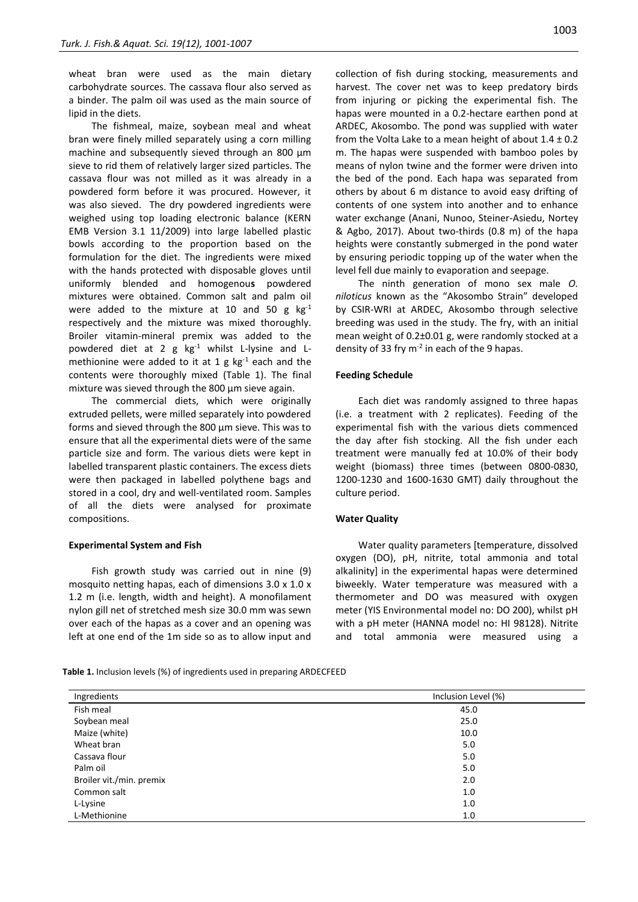wheat bran were used as the main dietary carbohydrate sources. The cassava flour also served as a binder. The palm oil was used as the main source of lipid in the diets.

The fishmeal, maize, soybean meal and wheat bran were finely milled separately using a corn milling machine and subsequently sieved through an 800 μm sieve to rid them of relatively larger sized particles. The cassava flour was not milled as it was already in a powdered form before it was procured. However, it was also sieved. The dry powdered ingredients were weighed using top loading electronic balance (KERN EMB Version 3.1 11/2009) into large labelled plastic bowls according to the proportion based on the formulation for the diet. The ingredients were mixed with the hands protected with disposable gloves until uniformly blended and homogenou**s** powdered mixtures were obtained. Common salt and palm oil were added to the mixture at 10 and 50 g  $kg^{-1}$ respectively and the mixture was mixed thoroughly. Broiler vitamin-mineral premix was added to the powdered diet at 2 g kg-1 whilst L-lysine and Lmethionine were added to it at 1 g  $kg^{-1}$  each and the contents were thoroughly mixed (Table 1). The final mixture was sieved through the 800 μm sieve again.

The commercial diets, which were originally extruded pellets, were milled separately into powdered forms and sieved through the 800 μm sieve. This was to ensure that all the experimental diets were of the same particle size and form. The various diets were kept in labelled transparent plastic containers. The excess diets were then packaged in labelled polythene bags and stored in a cool, dry and well-ventilated room. Samples of all the diets were analysed for proximate compositions.

#### **Experimental System and Fish**

Fish growth study was carried out in nine (9) mosquito netting hapas, each of dimensions 3.0 x 1.0 x 1.2 m (i.e. length, width and height). A monofilament nylon gill net of stretched mesh size 30.0 mm was sewn over each of the hapas as a cover and an opening was left at one end of the 1m side so as to allow input and

collection of fish during stocking, measurements and harvest. The cover net was to keep predatory birds from injuring or picking the experimental fish. The hapas were mounted in a 0.2-hectare earthen pond at ARDEC, Akosombo. The pond was supplied with water from the Volta Lake to a mean height of about  $1.4 \pm 0.2$ m. The hapas were suspended with bamboo poles by means of nylon twine and the former were driven into the bed of the pond. Each hapa was separated from others by about 6 m distance to avoid easy drifting of contents of one system into another and to enhance water exchange (Anani, Nunoo, Steiner-Asiedu, Nortey & Agbo, 2017). About two-thirds (0.8 m) of the hapa heights were constantly submerged in the pond water by ensuring periodic topping up of the water when the level fell due mainly to evaporation and seepage.

The ninth generation of mono sex male *O. niloticus* known as the "Akosombo Strain" developed by CSIR-WRI at ARDEC, Akosombo through selective breeding was used in the study. The fry, with an initial mean weight of 0.2±0.01 g, were randomly stocked at a density of 33 fry  $m<sup>-2</sup>$  in each of the 9 hapas.

#### **Feeding Schedule**

Each diet was randomly assigned to three hapas (i.e. a treatment with 2 replicates). Feeding of the experimental fish with the various diets commenced the day after fish stocking. All the fish under each treatment were manually fed at 10.0% of their body weight (biomass) three times (between 0800-0830, 1200-1230 and 1600-1630 GMT) daily throughout the culture period.

#### **Water Quality**

Water quality parameters [temperature, dissolved oxygen (DO), pH, nitrite, total ammonia and total alkalinity] in the experimental hapas were determined biweekly. Water temperature was measured with a thermometer and DO was measured with oxygen meter (YIS Environmental model no: DO 200), whilst pH with a pH meter (HANNA model no: HI 98128). Nitrite and total ammonia were measured using a

**Table 1.** Inclusion levels (%) of ingredients used in preparing ARDECFEED

| Ingredients              | Inclusion Level (%) |  |  |
|--------------------------|---------------------|--|--|
| Fish meal                | 45.0                |  |  |
| Soybean meal             | 25.0                |  |  |
| Maize (white)            | 10.0                |  |  |
| Wheat bran               | 5.0                 |  |  |
| Cassava flour            | 5.0                 |  |  |
| Palm oil                 | 5.0                 |  |  |
| Broiler vit./min. premix | 2.0                 |  |  |
| Common salt              | 1.0                 |  |  |
| L-Lysine                 | 1.0                 |  |  |
| L-Methionine             | 1.0                 |  |  |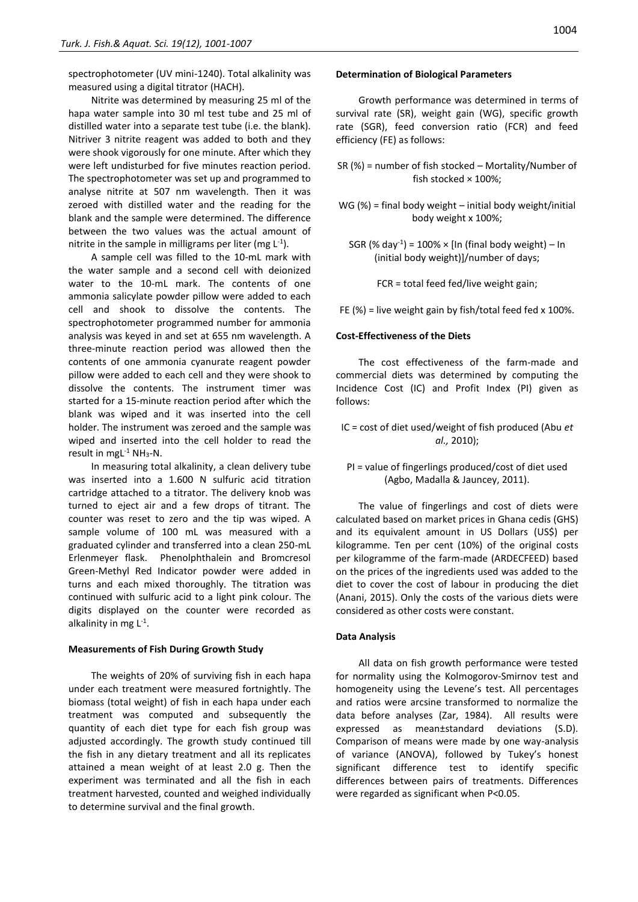spectrophotometer (UV mini-1240). Total alkalinity was measured using a digital titrator (HACH).

Nitrite was determined by measuring 25 ml of the hapa water sample into 30 ml test tube and 25 ml of distilled water into a separate test tube (i.e. the blank). Nitriver 3 nitrite reagent was added to both and they were shook vigorously for one minute. After which they were left undisturbed for five minutes reaction period. The spectrophotometer was set up and programmed to analyse nitrite at 507 nm wavelength. Then it was zeroed with distilled water and the reading for the blank and the sample were determined. The difference between the two values was the actual amount of nitrite in the sample in milligrams per liter (mg  $L^{-1}$ ).

A sample cell was filled to the 10-mL mark with the water sample and a second cell with deionized water to the 10-mL mark. The contents of one ammonia salicylate powder pillow were added to each cell and shook to dissolve the contents. The spectrophotometer programmed number for ammonia analysis was keyed in and set at 655 nm wavelength. A three-minute reaction period was allowed then the contents of one ammonia cyanurate reagent powder pillow were added to each cell and they were shook to dissolve the contents. The instrument timer was started for a 15-minute reaction period after which the blank was wiped and it was inserted into the cell holder. The instrument was zeroed and the sample was wiped and inserted into the cell holder to read the result in mgL<sup>-1</sup> NH<sub>3</sub>-N.

In measuring total alkalinity, a clean delivery tube was inserted into a 1.600 N sulfuric acid titration cartridge attached to a titrator. The delivery knob was turned to eject air and a few drops of titrant. The counter was reset to zero and the tip was wiped. A sample volume of 100 mL was measured with a graduated cylinder and transferred into a clean 250-mL Erlenmeyer flask. Phenolphthalein and Bromcresol Green-Methyl Red Indicator powder were added in turns and each mixed thoroughly. The titration was continued with sulfuric acid to a light pink colour. The digits displayed on the counter were recorded as alkalinity in mg L<sup>-1</sup>.

#### **Measurements of Fish During Growth Study**

The weights of 20% of surviving fish in each hapa under each treatment were measured fortnightly. The biomass (total weight) of fish in each hapa under each treatment was computed and subsequently the quantity of each diet type for each fish group was adjusted accordingly. The growth study continued till the fish in any dietary treatment and all its replicates attained a mean weight of at least 2.0 g. Then the experiment was terminated and all the fish in each treatment harvested, counted and weighed individually to determine survival and the final growth.

#### **Determination of Biological Parameters**

Growth performance was determined in terms of survival rate (SR), weight gain (WG), specific growth rate (SGR), feed conversion ratio (FCR) and feed efficiency (FE) as follows:

- SR (%) = number of fish stocked Mortality/Number of fish stocked × 100%;
- WG (%) = final body weight initial body weight/initial body weight x 100%;
	- SGR  $(\%$  day<sup>-1</sup>) = 100% × [In (final body weight) In (initial body weight)]/number of days;

FCR = total feed fed/live weight gain;

FE (%) = live weight gain by fish/total feed fed x 100%.

#### **Cost-Effectiveness of the Diets**

The cost effectiveness of the farm-made and commercial diets was determined by computing the Incidence Cost (IC) and Profit Index (PI) given as follows:

- IC = cost of diet used/weight of fish produced (Abu *et al.,* 2010);
	- PI = value of fingerlings produced/cost of diet used (Agbo, Madalla & Jauncey, 2011).

The value of fingerlings and cost of diets were calculated based on market prices in Ghana cedis (GHS) and its equivalent amount in US Dollars (US\$) per kilogramme. Ten per cent (10%) of the original costs per kilogramme of the farm-made (ARDECFEED) based on the prices of the ingredients used was added to the diet to cover the cost of labour in producing the diet (Anani, 2015). Only the costs of the various diets were considered as other costs were constant.

#### **Data Analysis**

All data on fish growth performance were tested for normality using the Kolmogorov-Smirnov test and homogeneity using the Levene's test. All percentages and ratios were arcsine transformed to normalize the data before analyses (Zar, 1984). All results were expressed as mean±standard deviations (S.D). Comparison of means were made by one way-analysis of variance (ANOVA), followed by Tukey's honest significant difference test to identify specific differences between pairs of treatments. Differences were regarded as significant when P<0.05.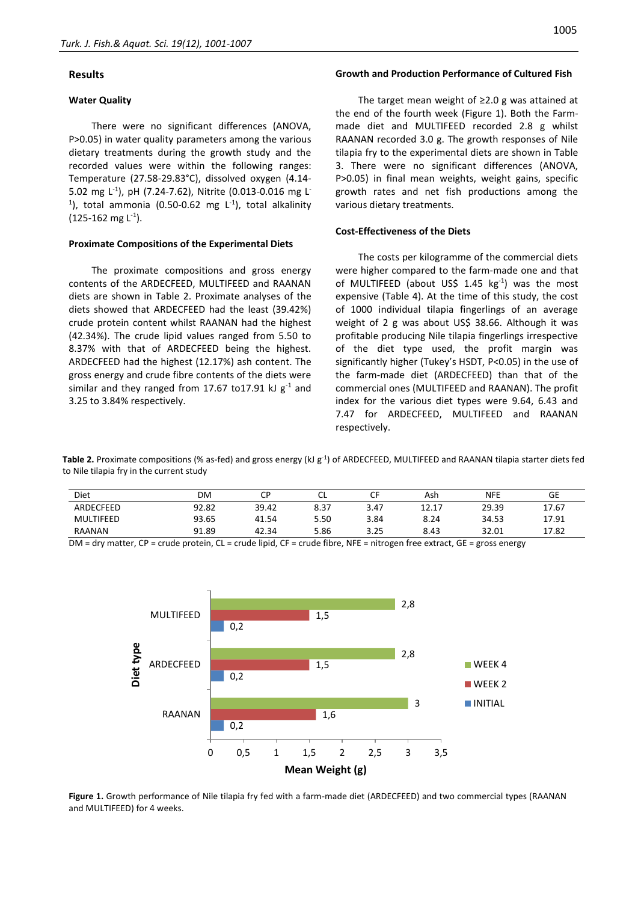# **Results**

#### **Water Quality**

There were no significant differences (ANOVA, P>0.05) in water quality parameters among the various dietary treatments during the growth study and the recorded values were within the following ranges: Temperature (27.58-29.83°C), dissolved oxygen (4.14- 5.02 mg L-1 ), pH (7.24-7.62), Nitrite (0.013-0.016 mg L-<sup>1</sup>), total ammonia (0.50-0.62 mg  $L^{-1}$ ), total alkalinity (125-162 mg L<sup>-1</sup>).

#### **Proximate Compositions of the Experimental Diets**

The proximate compositions and gross energy contents of the ARDECFEED, MULTIFEED and RAANAN diets are shown in Table 2. Proximate analyses of the diets showed that ARDECFEED had the least (39.42%) crude protein content whilst RAANAN had the highest (42.34%). The crude lipid values ranged from 5.50 to 8.37% with that of ARDECFEED being the highest. ARDECFEED had the highest (12.17%) ash content. The gross energy and crude fibre contents of the diets were similar and they ranged from 17.67 to 17.91 kJ  $g^{-1}$  and 3.25 to 3.84% respectively.

#### **Growth and Production Performance of Cultured Fish**

The target mean weight of ≥2.0 g was attained at the end of the fourth week (Figure 1). Both the Farmmade diet and MULTIFEED recorded 2.8 g whilst RAANAN recorded 3.0 g. The growth responses of Nile tilapia fry to the experimental diets are shown in Table 3. There were no significant differences (ANOVA, P>0.05) in final mean weights, weight gains, specific growth rates and net fish productions among the various dietary treatments.

#### **Cost-Effectiveness of the Diets**

The costs per kilogramme of the commercial diets were higher compared to the farm-made one and that of MULTIFEED (about US\$ 1.45 kg<sup>-1</sup>) was the most expensive (Table 4). At the time of this study, the cost of 1000 individual tilapia fingerlings of an average weight of 2 g was about US\$ 38.66. Although it was profitable producing Nile tilapia fingerlings irrespective of the diet type used, the profit margin was significantly higher (Tukey's HSDT, P<0.05) in the use of the farm-made diet (ARDECFEED) than that of the commercial ones (MULTIFEED and RAANAN). The profit index for the various diet types were 9.64, 6.43 and 7.47 for ARDECFEED, MULTIFEED and RAANAN respectively.

**Table 2.** Proximate compositions (% as-fed) and gross energy (kJ g-1 ) of ARDECFEED, MULTIFEED and RAANAN tilapia starter diets fed to Nile tilapia fry in the current study

| Diet      | DM    | ີ     | ີ    | $\sim$ $-$ | Ash   | <b>NFE</b> | GE    |
|-----------|-------|-------|------|------------|-------|------------|-------|
| ARDECFEED | 92.82 | 39.42 | 8.37 | 3.47       | 12.17 | 29.39      | 17.67 |
| MULTIFEED | 93.65 | 41.54 | 5.50 | 3.84       | 8.24  | 34.53      | 17.91 |
| RAANAN    | 91.89 | 42.34 | 5.86 | 3.25       | 8.43  | 32.01      | 17.82 |

 $DM = dry$  matter,  $CP = crude$  protein,  $CL = crude$  lipid,  $CF = crude$  fibre, NFE = nitrogen free extract,  $GE = gross$  energy



**Figure 1.** Growth performance of Nile tilapia fry fed with a farm-made diet (ARDECFEED) and two commercial types (RAANAN and MULTIFEED) for 4 weeks.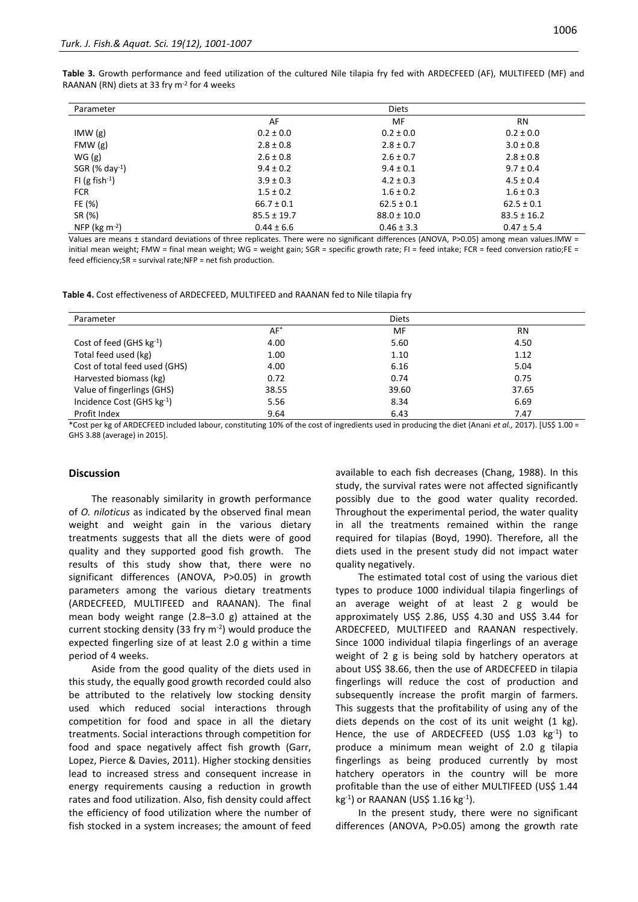| Parameter            |                | <b>Diets</b>   |                |
|----------------------|----------------|----------------|----------------|
|                      | AF             | MF             | <b>RN</b>      |
| IMW(g)               | $0.2 \pm 0.0$  | $0.2 \pm 0.0$  | $0.2 \pm 0.0$  |
| FMW(g)               | $2.8 \pm 0.8$  | $2.8 \pm 0.7$  | $3.0 \pm 0.8$  |
| WG(g)                | $2.6 \pm 0.8$  | $2.6 \pm 0.7$  | $2.8 \pm 0.8$  |
| SGR $(% day-1)$      | $9.4 \pm 0.2$  | $9.4 \pm 0.1$  | $9.7 \pm 0.4$  |
| FI (g fish $^{-1}$ ) | $3.9 \pm 0.3$  | $4.2 \pm 0.3$  | $4.5 \pm 0.4$  |
| <b>FCR</b>           | $1.5 \pm 0.2$  | $1.6 \pm 0.2$  | $1.6 \pm 0.3$  |
| FE (%)               | $66.7 \pm 0.1$ | $62.5 \pm 0.1$ | $62.5 \pm 0.1$ |

**Table 3.** Growth performance and feed utilization of the cultured Nile tilapia fry fed with ARDECFEED (AF), MULTIFEED (MF) and RAANAN (RN) diets at 33 fry m<sup>-2</sup> for 4 weeks

Values are means ± standard deviations of three replicates. There were no significant differences (ANOVA, P>0.05) among mean values.IMW = initial mean weight; FMW = final mean weight; WG = weight gain; SGR = specific growth rate; FI = feed intake; FCR = feed conversion ratio;FE = feed efficiency;SR = survival rate;NFP = net fish production.

 $0.44 \pm 6.6$  0.44  $\pm 6.6$  0.46  $\pm 3.3$  0.47  $\pm 5.4$ 

SR (%) 85.5 ± 19.7 88.0 ± 10.0 83.5 ± 15.2

**Table 4.** Cost effectiveness of ARDECFEED, MULTIFEED and RAANAN fed to Nile tilapia fry

| Parameter                     |        | <b>Diets</b> |           |
|-------------------------------|--------|--------------|-----------|
|                               | $AF^*$ | MF           | <b>RN</b> |
| Cost of feed (GHS $kg^{-1}$ ) | 4.00   | 5.60         | 4.50      |
| Total feed used (kg)          | 1.00   | 1.10         | 1.12      |
| Cost of total feed used (GHS) | 4.00   | 6.16         | 5.04      |
| Harvested biomass (kg)        | 0.72   | 0.74         | 0.75      |
| Value of fingerlings (GHS)    | 38.55  | 39.60        | 37.65     |
| Incidence Cost (GHS kg-1)     | 5.56   | 8.34         | 6.69      |
| Profit Index                  | 9.64   | 6.43         | 7.47      |

\*Cost per kg of ARDECFEED included labour, constituting 10% of the cost of ingredients used in producing the diet (Anani *et al.,* 2017). [US\$ 1.00 = GHS 3.88 (average) in 2015].

#### **Discussion**

NFP (kg m-2

The reasonably similarity in growth performance of *O. niloticus* as indicated by the observed final mean weight and weight gain in the various dietary treatments suggests that all the diets were of good quality and they supported good fish growth. The results of this study show that, there were no significant differences (ANOVA, P>0.05) in growth parameters among the various dietary treatments (ARDECFEED, MULTIFEED and RAANAN). The final mean body weight range (2.8–3.0 g) attained at the current stocking density (33 fry  $m<sup>-2</sup>$ ) would produce the expected fingerling size of at least 2.0 g within a time period of 4 weeks.

Aside from the good quality of the diets used in this study, the equally good growth recorded could also be attributed to the relatively low stocking density used which reduced social interactions through competition for food and space in all the dietary treatments. Social interactions through competition for food and space negatively affect fish growth (Garr, Lopez, Pierce & Davies, 2011). Higher stocking densities lead to increased stress and consequent increase in energy requirements causing a reduction in growth rates and food utilization. Also, fish density could affect the efficiency of food utilization where the number of fish stocked in a system increases; the amount of feed

available to each fish decreases (Chang, 1988). In this study, the survival rates were not affected significantly possibly due to the good water quality recorded. Throughout the experimental period, the water quality in all the treatments remained within the range required for tilapias (Boyd, 1990). Therefore, all the diets used in the present study did not impact water quality negatively.

The estimated total cost of using the various diet types to produce 1000 individual tilapia fingerlings of an average weight of at least 2 g would be approximately US\$ 2.86, US\$ 4.30 and US\$ 3.44 for ARDECFEED, MULTIFEED and RAANAN respectively. Since 1000 individual tilapia fingerlings of an average weight of 2 g is being sold by hatchery operators at about US\$ 38.66, then the use of ARDECFEED in tilapia fingerlings will reduce the cost of production and subsequently increase the profit margin of farmers. This suggests that the profitability of using any of the diets depends on the cost of its unit weight (1 kg). Hence, the use of ARDECFEED (US\$ 1.03 kg<sup>-1</sup>) to produce a minimum mean weight of 2.0 g tilapia fingerlings as being produced currently by most hatchery operators in the country will be more profitable than the use of either MULTIFEED (US\$ 1.44 kg<sup>-1</sup>) or RAANAN (US\$ 1.16 kg<sup>-1</sup>).

In the present study, there were no significant differences (ANOVA, P>0.05) among the growth rate